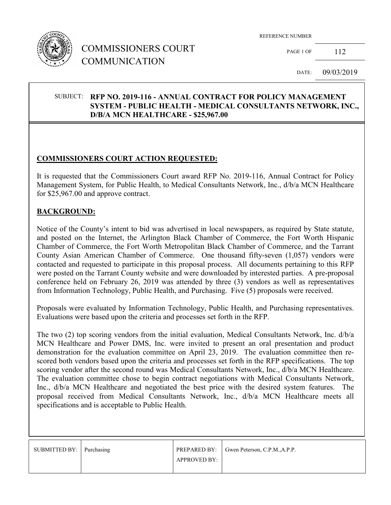

## COMMISSIONERS COURT COMMUNICATION

REFERENCE NUMBER

PAGE 1 OF 112

DATE: 09/03/2019

#### SUBJECT: **RFP NO. 2019-116 - ANNUAL CONTRACT FOR POLICY MANAGEMENT SYSTEM - PUBLIC HEALTH - MEDICAL CONSULTANTS NETWORK, INC., D/B/A MCN HEALTHCARE - \$25,967.00**

#### **COMMISSIONERS COURT ACTION REQUESTED:**

It is requested that the Commissioners Court award RFP No. 2019-116, Annual Contract for Policy Management System, for Public Health, to Medical Consultants Network, Inc., d/b/a MCN Healthcare for \$25,967.00 and approve contract.

#### **BACKGROUND:**

Notice of the County's intent to bid was advertised in local newspapers, as required by State statute, and posted on the Internet, the Arlington Black Chamber of Commerce, the Fort Worth Hispanic Chamber of Commerce, the Fort Worth Metropolitan Black Chamber of Commerce, and the Tarrant County Asian American Chamber of Commerce. One thousand fifty-seven (1,057) vendors were contacted and requested to participate in this proposal process. All documents pertaining to this RFP were posted on the Tarrant County website and were downloaded by interested parties. A pre-proposal conference held on February 26, 2019 was attended by three (3) vendors as well as representatives from Information Technology, Public Health, and Purchasing. Five (5) proposals were received.

Proposals were evaluated by Information Technology, Public Health, and Purchasing representatives. Evaluations were based upon the criteria and processes set forth in the RFP.

The two (2) top scoring vendors from the initial evaluation, Medical Consultants Network, Inc. d/b/a MCN Healthcare and Power DMS, Inc. were invited to present an oral presentation and product demonstration for the evaluation committee on April 23, 2019. The evaluation committee then rescored both vendors based upon the criteria and processes set forth in the RFP specifications. The top scoring vendor after the second round was Medical Consultants Network, Inc., d/b/a MCN Healthcare. The evaluation committee chose to begin contract negotiations with Medical Consultants Network, Inc.,  $d/b/a$  MCN Healthcare and negotiated the best price with the desired system features. The proposal received from Medical Consultants Network, Inc., d/b/a MCN Healthcare meets all specifications and is acceptable to Public Health.

| SUBMITTED BY: Purchasing |              | PREPARED BY: Gwen Peterson, C.P.M., A.P.P. |
|--------------------------|--------------|--------------------------------------------|
|                          | APPROVED BY: |                                            |